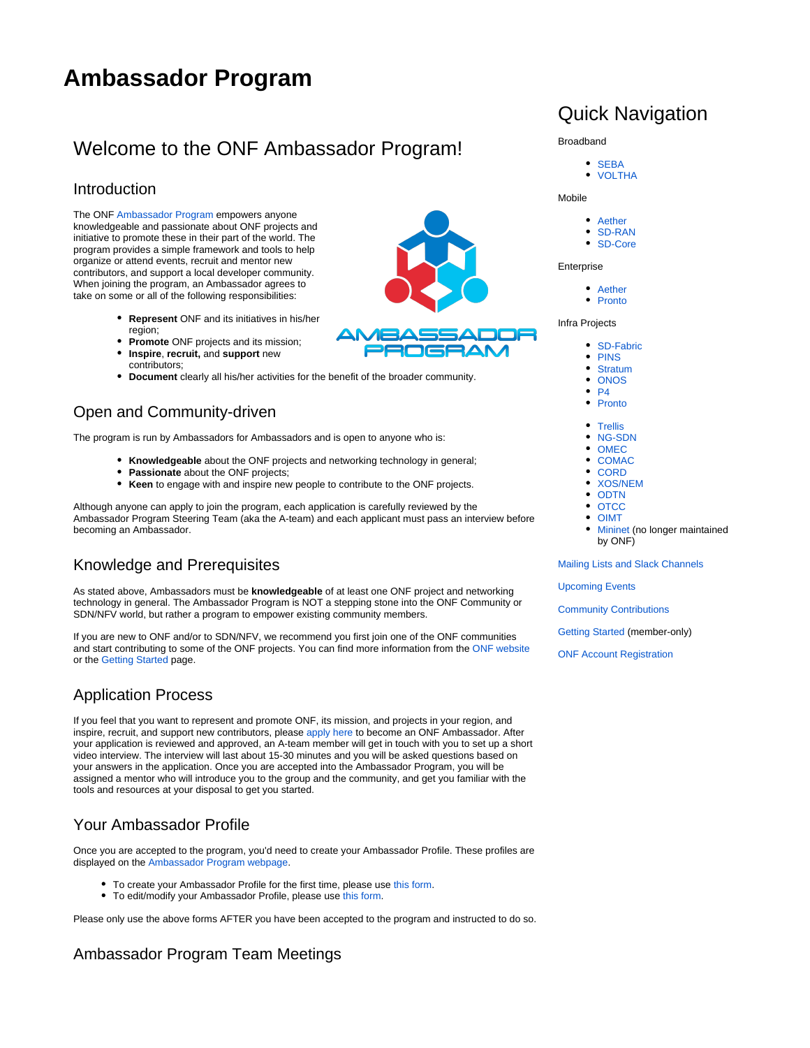# **Ambassador Program**

## Welcome to the ONF Ambassador Program!

#### Introduction

The ONF [Ambassador Program](https://ambassadors.opennetworking.org) empowers anyone knowledgeable and passionate about ONF projects and initiative to promote these in their part of the world. The program provides a simple framework and tools to help organize or attend events, recruit and mentor new contributors, and support a local developer community. When joining the program, an Ambassador agrees to take on some or all of the following responsibilities:

- **Represent** ONF and its initiatives in his/her region;
- **Promote** ONF projects and its mission;
- **Inspire**, **recruit,** and **support** new contributors;
- **Document** clearly all his/her activities for the benefit of the broader community.

### Open and Community-driven

The program is run by Ambassadors for Ambassadors and is open to anyone who is:

- **Knowledgeable** about the ONF projects and networking technology in general;
- **Passionate** about the ONF projects;
- **Keen** to engage with and inspire new people to contribute to the ONF projects.

Although anyone can apply to join the program, each application is carefully reviewed by the Ambassador Program Steering Team (aka the A-team) and each applicant must pass an interview before becoming an Ambassador.

### Knowledge and Prerequisites

As stated above, Ambassadors must be **knowledgeable** of at least one ONF project and networking technology in general. The Ambassador Program is NOT a stepping stone into the ONF Community or SDN/NFV world, but rather a program to empower existing community members.

If you are new to ONF and/or to SDN/NFV, we recommend you first join one of the ONF communities and start contributing to some of the ONF projects. You can find more information from the [ONF website](https://www.opennetworking.org/) or the [Getting Started](https://wiki.opennetworking.org/x/AoBODw) page.

### Application Process

If you feel that you want to represent and promote ONF, its mission, and projects in your region, and inspire, recruit, and support new contributors, please [apply here](https://forms.gle/PfkunXncognheAad8) to become an ONF Ambassador. After your application is reviewed and approved, an A-team member will get in touch with you to set up a short video interview. The interview will last about 15-30 minutes and you will be asked questions based on your answers in the application. Once you are accepted into the Ambassador Program, you will be assigned a mentor who will introduce you to the group and the community, and get you familiar with the tools and resources at your disposal to get you started.

### Your Ambassador Profile

Once you are accepted to the program, you'd need to create your Ambassador Profile. These profiles are displayed on the [Ambassador Program webpage.](https://www.opennetworking.org/ambassadors/)

- To create your Ambassador Profile for the first time, please use [this form](https://docs.google.com/forms/d/e/1FAIpQLSf-FuYW28xG5CjJ3I4EMUwoEwThfnZi5RuoVgDprzXw4ZnKhQ/viewform?usp=sf_link).
- To edit/modify your Ambassador Profile, please use [this form](https://docs.google.com/forms/d/e/1FAIpQLScYW9wXxfM9XzpMYQpPGwo294i_ppifs_9jqI1AwNyDGecR_A/viewform?usp=sf_link).

Please only use the above forms AFTER you have been accepted to the program and instructed to do so.

### Ambassador Program Team Meetings

## Quick Navigation

• SFBA • [VOLTHA](https://wiki.opennetworking.org/x/LYDTGw) Mobile • [Aether](https://wiki.opennetworking.org/x/DgDgI) • [SD-RAN](https://wiki.opennetworking.org/x/CIAFIw) [SD-Core](https://wiki.opennetworking.org/x/GQBGKQ) **Enterprise** • [Aether](https://wiki.opennetworking.org/x/DgDgI) • [Pronto](https://wiki.opennetworking.org/x/CwBEJQ) Infra Projects

Broadband

- 
- [SD-Fabric](https://wiki.opennetworking.org/x/HABGKQ) [PINS](https://wiki.opennetworking.org/x/A4DRL)
- [Stratum](https://wiki.opennetworking.org/x/HoBuEg)
- [ONOS](https://wiki.onosproject.org)
- [P4](https://wiki.opennetworking.org/x/KoDTGw)
- [Pronto](https://wiki.opennetworking.org/x/CwBEJQ)
- [Trellis](https://wiki.opennetworking.org/x/FYDTGw)
- [NG-SDN](https://wiki.opennetworking.org/x/GoDTGw)
- [OMEC](https://wiki.opennetworking.org/x/QIAKFw)
- **[COMAC](https://wiki.opencord.org/x/CAAuAg)**
- **[CORD](https://wiki.opennetworking.org/x/IIDTGw)**
- [XOS/NEM](https://wiki.opencord.org/x/VYUT)
- [ODTN](https://wiki.onosproject.org/x/bocgAQ)
- **[OTCC](https://wiki.opennetworking.org/x/CAB1Dw)**
- [OIMT](https://wiki.opennetworking.org/x/CgB1Dw)
- **[Mininet](http://mininet.org/) (no longer maintained** by ONF)

[Mailing Lists and Slack Channels](https://wiki.opennetworking.org/x/DIAlIg)

[Upcoming Events](https://wiki.opennetworking.org/x/DgB9Fw)

[Community Contributions](https://wiki.opennetworking.org/x/EYDCGg)

[Getting Started](https://wiki.opennetworking.org/x/AoBODw) (member-only)

[ONF Account Registration](https://www.opennetworking.org/register/)